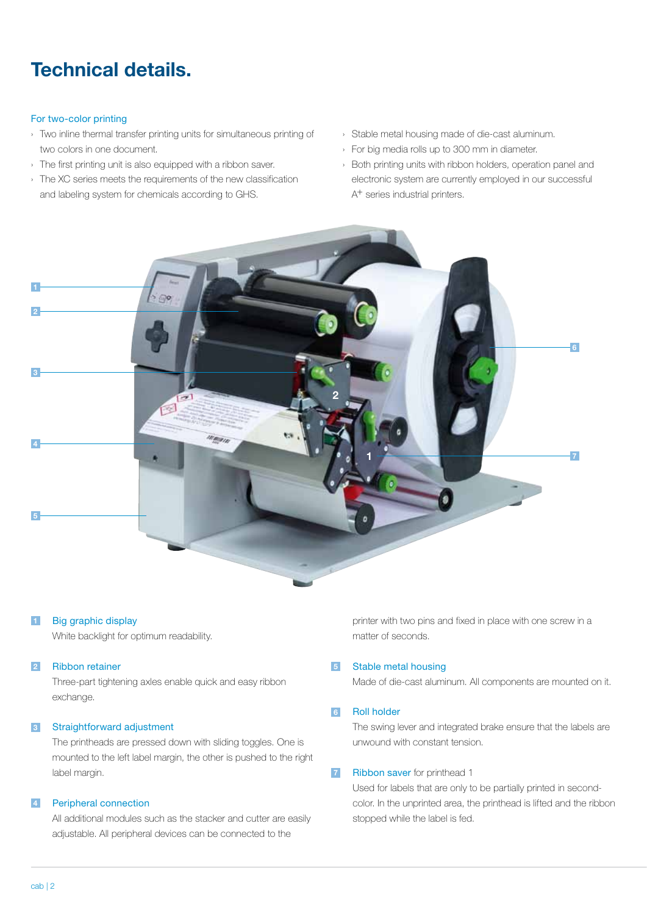# **Technical details.**

#### For two-color printing

- › Two inline thermal transfer printing units for simultaneous printing of two colors in one document.
- › The first printing unit is also equipped with a ribbon saver.
- › The XC series meets the requirements of the new classification and labeling system for chemicals according to GHS.
- › Stable metal housing made of die-cast aluminum.
- › For big media rolls up to 300 mm in diameter.
- › Both printing units with ribbon holders, operation panel and electronic system are currently employed in our successful A<sup>+</sup> series industrial printers.



#### **1** Big graphic display

 White backlight for optimum readability.

#### **2** Ribbon retainer

Three-part tightening axles enable quick and easy ribbon exchange.

#### **3** Straightforward adjustment

The printheads are pressed down with sliding toggles. One is mounted to the left label margin, the other is pushed to the right label margin.

#### **4** Peripheral connection

All additional modules such as the stacker and cutter are easily adjustable. All peripheral devices can be connected to the

printer with two pins and fixed in place with one screw in a matter of seconds.

#### **5** Stable metal housing

Made of die-cast aluminum. All components are mounted on it.

#### **6** Roll holder

The swing lever and integrated brake ensure that the labels are unwound with constant tension.

#### **7** Ribbon saver for printhead 1

Used for labels that are only to be partially printed in secondcolor. In the unprinted area, the printhead is lifted and the ribbon stopped while the label is fed.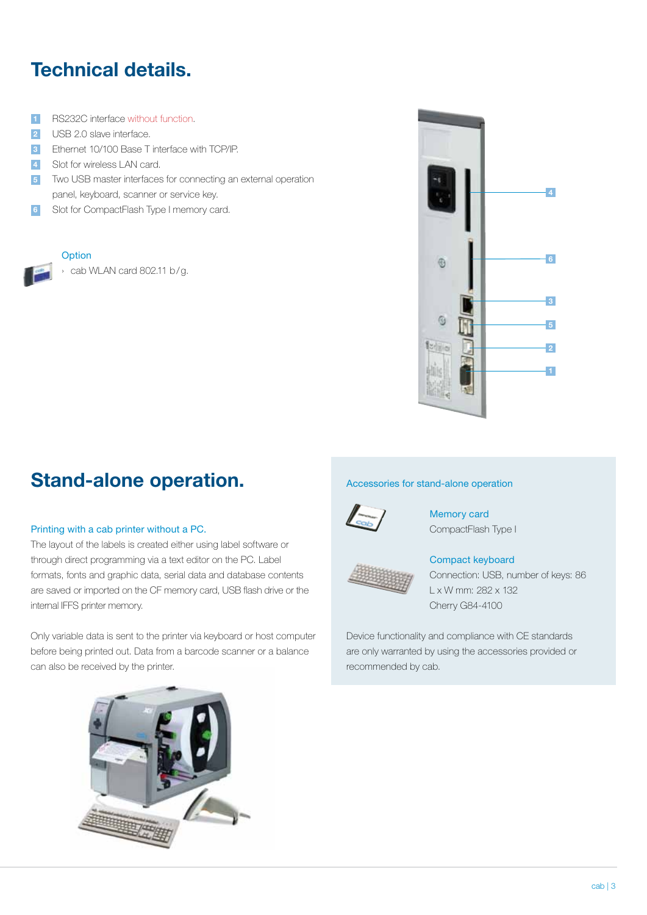# **Technical details.**

- **1 RS232C interface without function.**
- **2 USB 2.0 slave interface.**
- **3** Ethernet 10/100 Base T interface with TCP/IP.
- **4** Slot for wireless LAN card.
- **5** Two USB master interfaces for connecting an external operation panel, keyboard, scanner or service key.
- **6** Slot for CompactFlash Type I memory card.

#### **Option**

cab WLAN card 802.11 b/g.



### Stand-alone operation. **Stand-alone operation**

#### Printing with a cab printer without a PC.

The layout of the labels is created either using label software or through direct programming via a text editor on the PC. Label formats, fonts and graphic data, serial data and database contents are saved or imported on the CF memory card, USB flash drive or the internal IFFS printer memory.

Only variable data is sent to the printer via keyboard or host computer before being printed out. Data from a barcode scanner or a balance can also be received by the printer.



Memory card CompactFlash Type I



### Compact keyboard

Connection: USB, number of keys: 86 L x W mm: 282 x 132 Cherry G84-4100

Device functionality and compliance with CE standards are only warranted by using the accessories provided or recommended by cab.

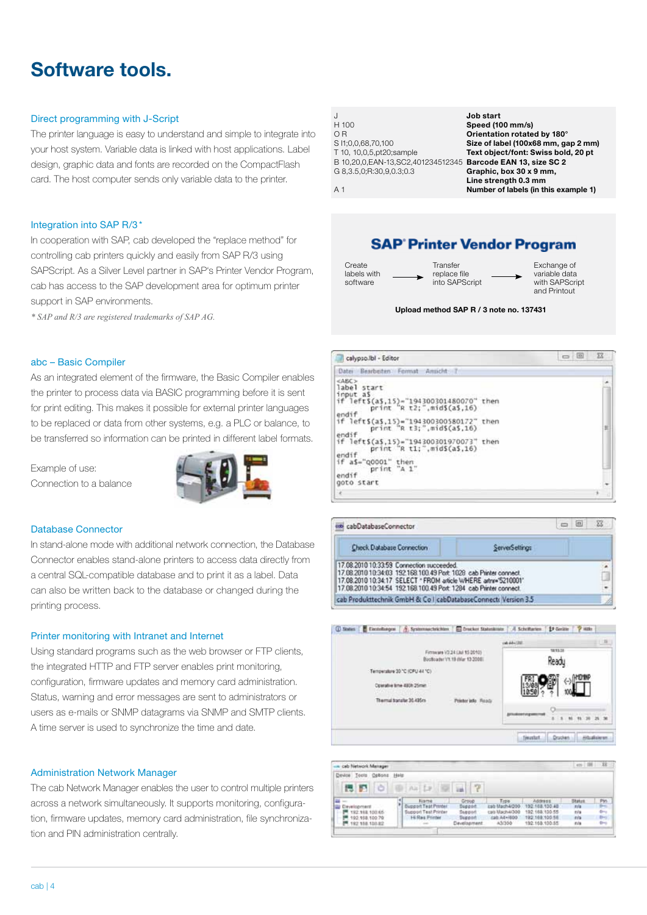### **Software tools.**

#### Direct programming with J-Script

The printer language is easy to understand and simple to integrate into your host system. Variable data is linked with host applications. Label design, graphic data and fonts are recorded on the CompactFlash card. The host computer sends only variable data to the printer.

#### Integration into SAP R/3\*

In cooperation with SAP, cab developed the "replace method" for controlling cab printers quickly and easily from SAP R/3 using SAPScript. As a Silver Level partner in SAP's Printer Vendor Program, cab has access to the SAP development area for optimum printer support in SAP environments.

*\* SAP and R/3 are registered trademarks of SAP AG.*

#### abc – Basic Compiler

As an integrated element of the firmware, the Basic Compiler enables the printer to process data via BASIC programming before it is sent for print editing. This makes it possible for external printer languages to be replaced or data from other systems, e.g. a PLC or balance, to be transferred so information can be printed in different label formats.

Example of use: Connection to a balance



#### Database Connector

In stand-alone mode with additional network connection, the Database Connector enables stand-alone printers to access data directly from a central SQL-compatible database and to print it as a label. Data can also be written back to the database or changed during the printing process.

#### Printer monitoring with Intranet and Internet

Using standard programs such as the web browser or FTP clients, the integrated HTTP and FTP server enables print monitoring, configuration, firmware updates and memory card administration. Status, warning and error messages are sent to administrators or users as e-mails or SNMP datagrams via SNMP and SMTP clients. A time server is used to synchronize the time and date.

#### Administration Network Manager

The cab Network Manager enables the user to control multiple printers across a network simultaneously. It supports monitoring, configuration, firmware updates, memory card administration, file synchronization and PIN administration centrally.

| J                                                              | Job start                            |
|----------------------------------------------------------------|--------------------------------------|
| H 100                                                          | Speed (100 mm/s)                     |
| OR                                                             | Orientation rotated by 180°          |
| S I1:0.0.68,70,100                                             | Size of label (100x68 mm, gap 2 mm)  |
| T 10, 10,0,5,pt20;sample                                       | Text object/font: Swiss bold, 20 pt  |
| B 10,20,0, EAN-13, SC2, 401234512345 Barcode EAN 13, size SC 2 |                                      |
| G 8, 3.5, 0; R: 30, 9, 0.3; 0.3                                | Graphic, box 30 x 9 mm,              |
|                                                                | Line strength 0.3 mm                 |
| A 1                                                            | Number of labels (in this example 1) |

### **SAP Printer Vendor Program**

Create Transfer Exchange of<br>
School and the Creater of the Creater of the Creater of the Creater<br>
Creater of the Creater of the Creater of the Creater<br>
Creater of the Creater of the Creater of the Creater<br>
Creater of the C labels with replace file variable data<br>software into SAPScript with SAPScript into SAPScript

and Printout

#### **Upload method SAP R / 3 note no. 137431**

| calypso.lbl - Editor                                                                                                             | 窓<br>圓<br>$\equiv$ |
|----------------------------------------------------------------------------------------------------------------------------------|--------------------|
| Date: Bearbeiten Format<br>Amscht                                                                                                |                    |
| <abc><br/>label start<br/>input as<br/>if left\$(a\$,15)="194300301480070" then<br/>print "R t2;", mid\$(a\$,16)<br/>endif</abc> |                    |
| if left\$(a\$,15)="194300300580172" then<br>print "R t3;", mid\$(a\$,16)<br>endif                                                | Ħ                  |
| if left\$(a\$,15)="194300301970073"<br>then<br>print "R t1;", mid\$(a\$,16)<br>endif                                             |                    |
| if a\$="00001" then<br>print "A 1"<br>endif<br>goto start                                                                        |                    |
|                                                                                                                                  |                    |

| cabDatabaseConnector                                                                                                                                                                                                                                     |                | $\sqrt{3}$ | -23                            |
|----------------------------------------------------------------------------------------------------------------------------------------------------------------------------------------------------------------------------------------------------------|----------------|------------|--------------------------------|
| <b>Check Database Connection</b>                                                                                                                                                                                                                         | ServerSettings |            |                                |
| 17.08.2010 10:33:59 Connection succeeded.<br>17.08.2010 10:34:03 192.168.100.49 Port: 1028 cab Printer connect.<br>17.08.2010 10:34:17 SELECT * FROM article WHERE artnr="5210001"<br>17.08.2010 10:34:54 192.168.100.49 Port: 1284 cab Printer connect. |                |            | i.<br>$\overline{\phantom{a}}$ |
| cab Produkttechnik GmbH & Co I cabDatabaseConnect: Version 3.5                                                                                                                                                                                           |                |            |                                |



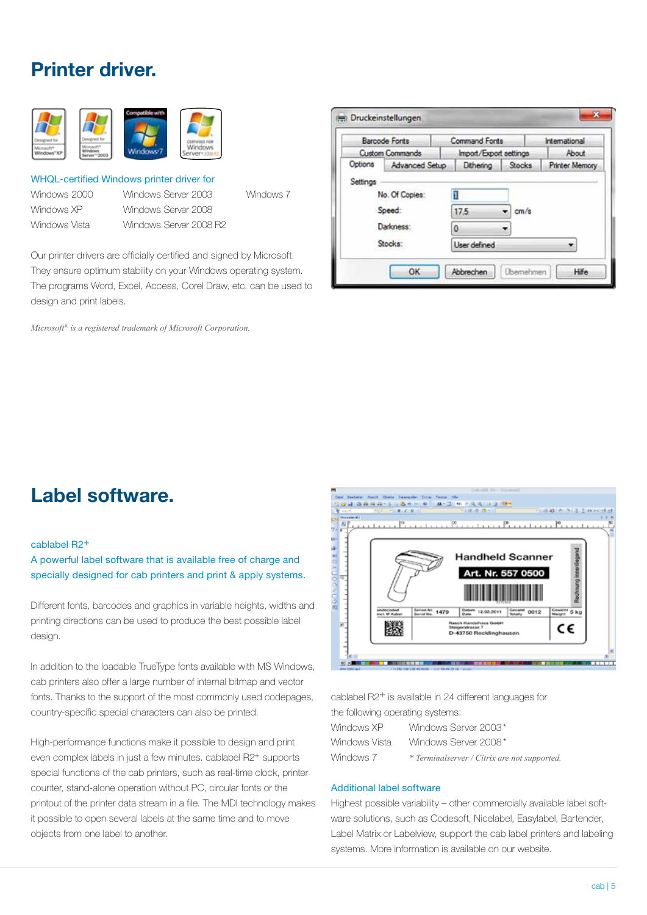### **Printer driver.**



#### WHQL-certified Windows printer driver for

Windows Vista Windows Server 2008 R2

Windows 2000 Windows Server 2003 Windows 7 Windows XP Windows Server 2008

Our printer drivers are officially certified and signed by Microsoft. They ensure optimum stability on your Windows operating system. The programs Word, Excel, Access, Corel Draw, etc. can be used to design and print labels.

*Microsoft® is a registered trademark of Microsoft Corporation.* 

|                     | <b>Barcode Fonts</b>   | <b>Command Fonts</b>   |               | International         |
|---------------------|------------------------|------------------------|---------------|-----------------------|
|                     | <b>Custom Commands</b> | Import/Export settings |               | About                 |
|                     | Options Advanced Setup | Dithering              | <b>Stocks</b> | <b>Printer Memory</b> |
| Speed:<br>Darkness: |                        | 17.5<br>٥              | cm/s          |                       |
|                     | Stocks:                | <b>User defined</b>    |               |                       |

### **Label software.**

#### cablabel R2+

A powerful label software that is available free of charge and specially designed for cab printers and print & apply systems.

Different fonts, barcodes and graphics in variable heights, widths and printing directions can be used to produce the best possible label design.

In addition to the loadable TrueType fonts available with MS Windows, cab printers also offer a large number of internal bitmap and vector fonts. Thanks to the support of the most commonly used codepages, country-specific special characters can also be printed.

High-performance functions make it possible to design and print even complex labels in just a few minutes. cablabel R2+ supports special functions of the cab printers, such as real-time clock, printer counter, stand-alone operation without PC, circular fonts or the printout of the printer data stream in a file. The MDI technology makes it possible to open several labels at the same time and to move objects from one label to another.



cablabel R2+ is available in 24 different languages for the following operating systems:

| Windows XP    | Windows Server 2003*                         |
|---------------|----------------------------------------------|
| Windows Vista | Windows Server 2008*                         |
| Windows 7     | * Terminalserver / Citrix are not supported. |

#### Additional label software

Highest possible variability – other commercially available label software solutions, such as Codesoft, Nicelabel, Easylabel, Bartender, Label Matrix or Labelview, support the cab label printers and labeling systems. More information is available on our website.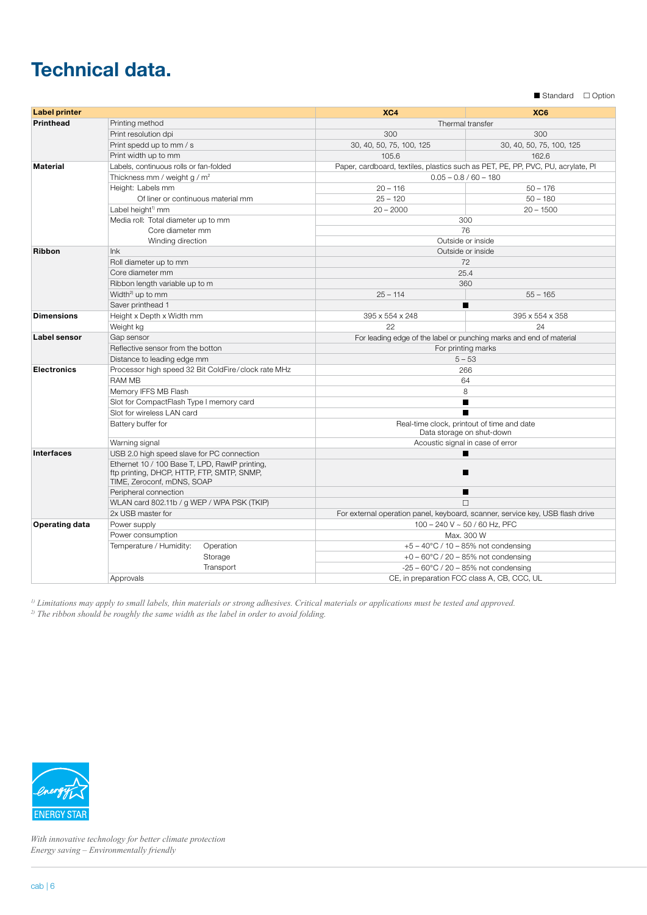# **Technical data.**

Standard Option

| <b>Label printer</b>  |                                                                                                                            | XC4                                                                             | XC <sub>6</sub>          |  |
|-----------------------|----------------------------------------------------------------------------------------------------------------------------|---------------------------------------------------------------------------------|--------------------------|--|
| <b>Printhead</b>      | Printing method                                                                                                            | Thermal transfer                                                                |                          |  |
|                       | Print resolution dpi                                                                                                       | 300                                                                             | 300                      |  |
|                       | Print spedd up to mm / s                                                                                                   | 30, 40, 50, 75, 100, 125                                                        | 30, 40, 50, 75, 100, 125 |  |
|                       | Print width up to mm                                                                                                       | 105.6                                                                           | 162.6                    |  |
| <b>Material</b>       | Labels, continuous rolls or fan-folded                                                                                     | Paper, cardboard, textiles, plastics such as PET, PE, PP, PVC, PU, acrylate, PI |                          |  |
|                       | Thickness mm / weight g / m <sup>2</sup>                                                                                   | $0.05 - 0.8 / 60 - 180$                                                         |                          |  |
|                       | Height: Labels mm                                                                                                          | $20 - 116$                                                                      | $50 - 176$               |  |
|                       | Of liner or continuous material mm                                                                                         | $25 - 120$                                                                      | $50 - 180$               |  |
|                       | Label height <sup>1)</sup> mm                                                                                              | $20 - 2000$                                                                     | $20 - 1500$              |  |
|                       | Media roll: Total diameter up to mm                                                                                        | 300                                                                             |                          |  |
|                       | Core diameter mm                                                                                                           | 76                                                                              |                          |  |
|                       | Winding direction                                                                                                          | Outside or inside                                                               |                          |  |
| Ribbon                | Ink                                                                                                                        | Outside or inside                                                               |                          |  |
|                       | Roll diameter up to mm                                                                                                     | 72                                                                              |                          |  |
|                       | Core diameter mm                                                                                                           | 25.4                                                                            |                          |  |
|                       | Ribbon length variable up to m                                                                                             | 360                                                                             |                          |  |
|                       | Width <sup>2)</sup> up to mm                                                                                               | $25 - 114$                                                                      | $55 - 165$               |  |
|                       | Saver printhead 1                                                                                                          |                                                                                 |                          |  |
| <b>Dimensions</b>     | Height x Depth x Width mm                                                                                                  | 395 x 554 x 248                                                                 | 395 x 554 x 358          |  |
|                       | Weight kg                                                                                                                  | 22                                                                              | 24                       |  |
| Label sensor          | Gap sensor                                                                                                                 | For leading edge of the label or punching marks and end of material             |                          |  |
|                       | Reflective sensor from the botton                                                                                          | For printing marks                                                              |                          |  |
|                       | Distance to leading edge mm                                                                                                | $5 - 53$                                                                        |                          |  |
| <b>Electronics</b>    | Processor high speed 32 Bit ColdFire/clock rate MHz                                                                        | 266                                                                             |                          |  |
|                       | <b>RAM MB</b>                                                                                                              | 64                                                                              |                          |  |
|                       | Memory IFFS MB Flash                                                                                                       | 8                                                                               |                          |  |
|                       | Slot for CompactFlash Type I memory card                                                                                   | ■                                                                               |                          |  |
|                       | Slot for wireless LAN card                                                                                                 | ■                                                                               |                          |  |
|                       | Battery buffer for                                                                                                         | Real-time clock, printout of time and date<br>Data storage on shut-down         |                          |  |
|                       | Warning signal                                                                                                             | Acoustic signal in case of error                                                |                          |  |
| <b>Interfaces</b>     | USB 2.0 high speed slave for PC connection                                                                                 | п                                                                               |                          |  |
|                       | Ethernet 10 / 100 Base T, LPD, RawlP printing,<br>ftp printing, DHCP, HTTP, FTP, SMTP, SNMP,<br>TIME, Zeroconf, mDNS, SOAP | ▬                                                                               |                          |  |
|                       | Peripheral connection                                                                                                      | ■                                                                               |                          |  |
|                       | WLAN card 802.11b / g WEP / WPA PSK (TKIP)                                                                                 | П                                                                               |                          |  |
|                       | 2x USB master for                                                                                                          | For external operation panel, keyboard, scanner, service key, USB flash drive   |                          |  |
| <b>Operating data</b> | Power supply                                                                                                               | 100 - 240 V ~ 50 / 60 Hz, PFC                                                   |                          |  |
|                       | Power consumption                                                                                                          | Max. 300 W                                                                      |                          |  |
|                       | Temperature / Humidity:<br>Operation                                                                                       | $+5 - 40^{\circ}$ C / 10 - 85% not condensing                                   |                          |  |
|                       | Storage                                                                                                                    | $+0 - 60^{\circ}$ C / 20 - 85% not condensing                                   |                          |  |
|                       | Transport                                                                                                                  | $-25 - 60^{\circ}$ C / 20 - 85% not condensing                                  |                          |  |
|                       | Approvals                                                                                                                  | CE, in preparation FCC class A, CB, CCC, UL                                     |                          |  |

*1) Limitations may apply to small labels, thin materials or strong adhesives. Critical materials or applications must be tested and approved. 2) The ribbon should be roughly the same width as the label in order to avoid folding.*



*With innovative technology for better climate protection Energy saving* – *Environmentally friendly*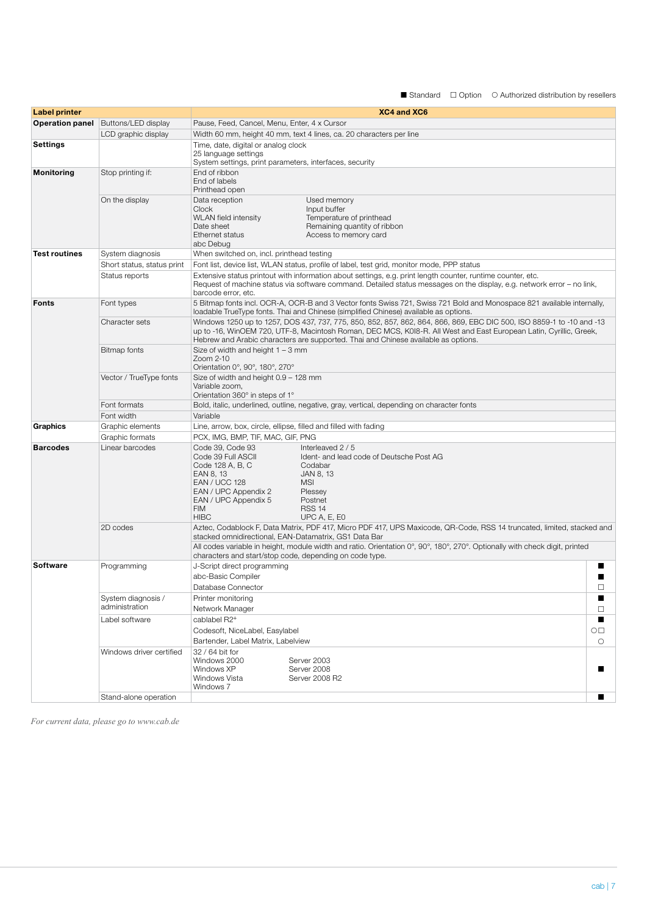$\blacksquare$  Standard  $\Box$  Option  $\Box$  Authorized distribution by resellers

| <b>Label printer</b> |                                              | XC4 and XC6                                                                                                                                                                                                                                                                                                                                                               |                    |  |
|----------------------|----------------------------------------------|---------------------------------------------------------------------------------------------------------------------------------------------------------------------------------------------------------------------------------------------------------------------------------------------------------------------------------------------------------------------------|--------------------|--|
|                      | <b>Operation panel</b>   Buttons/LED display | Pause, Feed, Cancel, Menu, Enter, 4 x Cursor                                                                                                                                                                                                                                                                                                                              |                    |  |
|                      | LCD graphic display                          | Width 60 mm, height 40 mm, text 4 lines, ca. 20 characters per line                                                                                                                                                                                                                                                                                                       |                    |  |
| Settings             |                                              | Time, date, digital or analog clock<br>25 language settings<br>System settings, print parameters, interfaces, security                                                                                                                                                                                                                                                    |                    |  |
| <b>Monitoring</b>    | Stop printing if:                            | End of ribbon<br>End of labels<br>Printhead open                                                                                                                                                                                                                                                                                                                          |                    |  |
|                      | On the display                               | Used memory<br>Data reception<br>Clock<br>Input buffer<br><b>WLAN</b> field intensity<br>Temperature of printhead<br>Date sheet<br>Remaining quantity of ribbon<br>Ethernet status<br>Access to memory card<br>abc Debug                                                                                                                                                  |                    |  |
| <b>Test routines</b> | System diagnosis                             | When switched on, incl. printhead testing                                                                                                                                                                                                                                                                                                                                 |                    |  |
|                      | Short status, status print                   | Font list, device list, WLAN status, profile of label, test grid, monitor mode, PPP status                                                                                                                                                                                                                                                                                |                    |  |
|                      | Status reports                               | Extensive status printout with information about settings, e.g. print length counter, runtime counter, etc.<br>Request of machine status via software command. Detailed status messages on the display, e.g. network error - no link,<br>barcode error, etc.                                                                                                              |                    |  |
| <b>Fonts</b>         | Font types                                   | 5 Bitmap fonts incl. OCR-A, OCR-B and 3 Vector fonts Swiss 721, Swiss 721 Bold and Monospace 821 available internally,<br>loadable TrueType fonts. Thai and Chinese (simplified Chinese) available as options.                                                                                                                                                            |                    |  |
|                      | Character sets                               | Windows 1250 up to 1257, DOS 437, 737, 775, 850, 852, 857, 862, 864, 866, 869, EBC DIC 500, ISO 8859-1 to -10 and -13<br>up to -16, WinOEM 720, UTF-8, Macintosh Roman, DEC MCS, K0I8-R. All West and East European Latin, Cyrillic, Greek,<br>Hebrew and Arabic characters are supported. Thai and Chinese available as options.                                         |                    |  |
|                      | Bitmap fonts                                 | Size of width and height $1 - 3$ mm<br>Zoom 2-10<br>Orientation 0°, 90°, 180°, 270°                                                                                                                                                                                                                                                                                       |                    |  |
|                      | Vector / TrueType fonts                      | Size of width and height 0.9 - 128 mm<br>Variable zoom,<br>Orientation 360° in steps of 1°                                                                                                                                                                                                                                                                                |                    |  |
|                      | Font formats                                 | Bold, italic, underlined, outline, negative, gray, vertical, depending on character fonts                                                                                                                                                                                                                                                                                 |                    |  |
|                      | Font width                                   | Variable                                                                                                                                                                                                                                                                                                                                                                  |                    |  |
| Graphics             | Graphic elements                             | Line, arrow, box, circle, ellipse, filled and filled with fading                                                                                                                                                                                                                                                                                                          |                    |  |
|                      | Graphic formats                              | PCX, IMG, BMP, TIF, MAC, GIF, PNG                                                                                                                                                                                                                                                                                                                                         |                    |  |
| <b>Barcodes</b>      | Linear barcodes                              | Code 39, Code 93<br>Interleaved 2 / 5<br>Code 39 Full ASCII<br>Ident- and lead code of Deutsche Post AG<br>Code 128 A, B, C<br>Codabar<br>JAN 8, 13<br>EAN 8, 13<br><b>EAN / UCC 128</b><br><b>MSI</b><br>EAN / UPC Appendix 2<br>Plessey<br>EAN / UPC Appendix 5<br>Postnet<br><b>FIM</b><br><b>RSS 14</b><br><b>HIBC</b><br>UPC A, E, E0                                |                    |  |
|                      | 2D codes                                     | Aztec, Codablock F, Data Matrix, PDF 417, Micro PDF 417, UPS Maxicode, QR-Code, RSS 14 truncated, limited, stacked and<br>stacked omnidirectional, EAN-Datamatrix, GS1 Data Bar<br>All codes variable in height, module width and ratio. Orientation 0°, 90°, 180°, 270°. Optionally with check digit, printed<br>characters and start/stop code, depending on code type. |                    |  |
| <b>Software</b>      | Programming                                  | J-Script direct programming<br>abc-Basic Compiler<br>Database Connector                                                                                                                                                                                                                                                                                                   | ■<br>$\Box$        |  |
|                      | System diagnosis /                           | Printer monitoring                                                                                                                                                                                                                                                                                                                                                        | ■                  |  |
|                      | administration                               | Network Manager                                                                                                                                                                                                                                                                                                                                                           | $\Box$             |  |
|                      | Label software                               | cablabel R2+<br>Codesoft, NiceLabel, Easylabel<br>Bartender, Label Matrix, Labelview                                                                                                                                                                                                                                                                                      | $\circ$<br>$\circ$ |  |
|                      | Windows driver certified                     | 32 / 64 bit for<br>Windows 2000<br>Server 2003<br>Windows XP<br>Server 2008<br>Windows Vista<br>Server 2008 R2<br>Windows 7                                                                                                                                                                                                                                               |                    |  |
|                      | Stand-alone operation                        |                                                                                                                                                                                                                                                                                                                                                                           |                    |  |

*For current data, please go to www.cab.de*